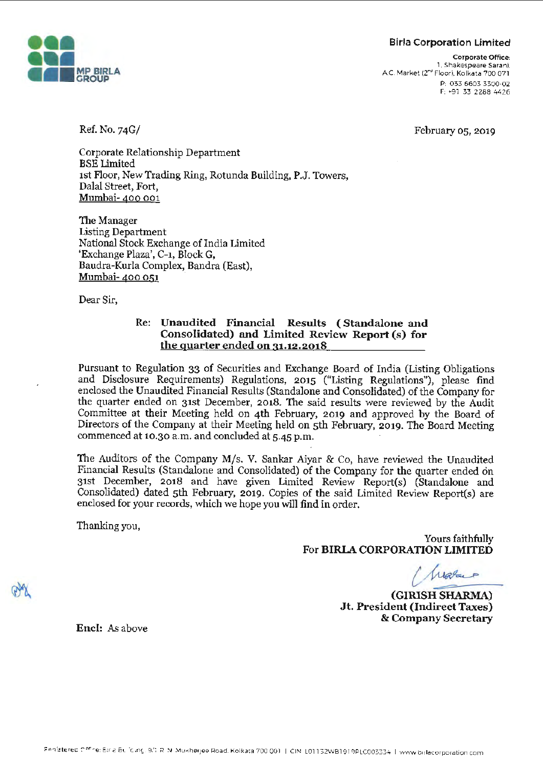#### Birla Corporation Limited



Corporate Office: 1. Shakespeare Sarani . AC. Market (2"" Floor). Kolkata 700 071 P: 033 6603 3300-02 F: •91 33 2288 4426

Ref. No. 74G/

February 05, 2019

Corporate Relationship Department BSE Limited 1st Floor, New Trading Ring, Rotunda Building, P.J. Towers, Dalal Street, Fort, Mumbai- 400 001

The Manager Listing Department National Stock Exchange of India Limited 'Exchange Plaza', C-1, Block G, Baudra-Kurla Complex, Bandra (East), Mumbai- 400 051 ·

Dear Sir,

#### Re: **Unaudited Financial Results** ( **Standalone and Consolidated) and Limited Review Report (s) for the quarter ended on 31.12.2018**

Pursuant to Regulation 33 of Securities and Exchange Board of India (Listing Obligations and Disclosure Requirements) Regulations, 2015 ("Listing Regulations"), please find enclosed the Unaudited Financial Results (Standalone and Consolidated) of the Company for the quarter ended on 31st December, 2018. The said results were reviewed by the Audit Committee at their Meeting held on 4th February, 2019 and approved by the Board of Directors of the Company at their Meeting held on 5th February, 2019. The Board Meeting commenced at 10.30 a.m. and concluded at 5-45 p.m.

The Auditors of the Company M/s. V. Sankar Aiyar & Co, have reviewed the Unaudited Financial Results (Standalone and Consolidated) of the Company for the quarter ended on 31st December, 2018 and have given Limited Review Report(s) (Standalone and Consolidated) dated 5th February, 2019. Copies of the said Limited Review Report(s) are enclosed for your records, which we hope you will find in order.

Thanking you,

Yours faithfully For **BIRLA CORPORATION LIMITED**  *Yours faithfully*<br> *c\_ <i>C\_ LUQS*<br> *c\_ LUQS*<br> *c\_ CHARMA* 

*-==* **(GIRISH SHARMA) Jt. President (Indirect Taxes)**  & **Company Secretary** 

**Encl:** As above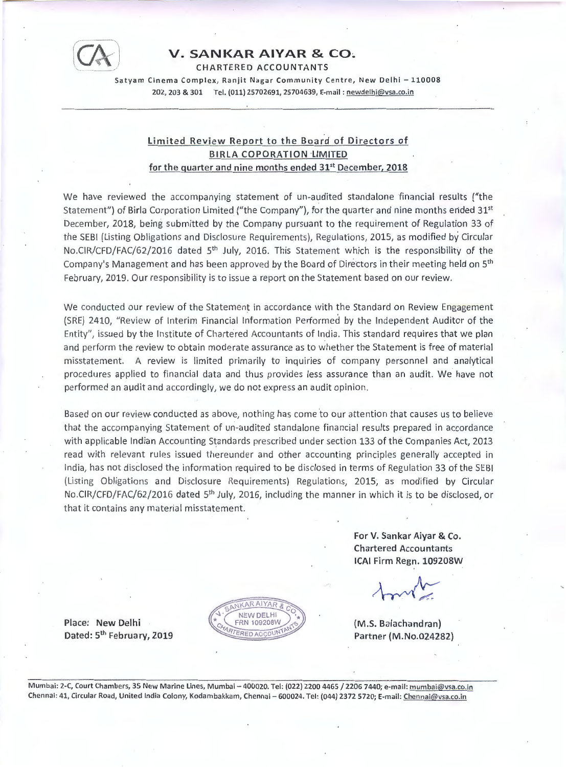

#### **V. SANKAR AIYAR & CO.**

CHARTERED ACCOUNTANTS

Satyam Cinema Complex, Ranjit Nagar Community Centre, New Delhi - 110008 202, 203 & 301 Tel. (011) 25702691, 25704639, E-mail: newdelhi@vsa.co.in

#### **Limited Review Report to the Board of Directors of BIRLA COPORATION ·LIMITED for the quarter and nine months ended 31st December, 2018**

We have reviewed the accompanying statement of un-audited standalone financial results ("the Statement") of Birla Corporation Limited ("the Company"), for the quarter and nine months ended  $31<sup>st</sup>$ December, 2018, being submitted by the Company pursuant to the requirement of Regulation 33 of the SEBI (Listing Obligations and Disclosure Requirements), Regulations, 2015, as modified by Circular No.CIR/CFD/FAC/62/2016 dated 5<sup>th</sup> July, 2016. This Statement which is the responsibility of the Company's Management and has been approved by the Board of Directors in their meeting held on 5<sup>th</sup> February, 2019. Our responsibility is to issue a report on the Statement based on our review.

We conducted our review of the Statement in accordance with the Standard on Review Engagement (SRE) 2410, "Review of Interim Financial Information Performed by the Independent Auditor of the Entity", issued by the Institute of Chartered Accountants of India. This standard requires that we plan and perform the review to obtain moderate assurance as to whether the Statement is free of material misstatement. A review is limited primarily to inquiries of company personnel and analytical procedures applied to financial data and thus provides less assurance than an audit. We have not performed an aµdit and accordingly, we do not express an audit opinion.

Based on our review. conducted as above, nothing has come 'to our attention that causes us to believe that the accompanying Statement of un-audited standalone financial results prepared in accordance with applicable Indian Accounting Standards prescribed under section 133 of the Companies Act, 2013 read with relevant rules issued thereunder and other accounting principles generally accepted in India, has not disclosed the information required to be disclosed in terms of Regulation 33 of the SEBI (Listing Obligations and Disclosure Requirements) Regulations, 2015; as modified by Circular No.CIR/CFD/FAC/62/2016 dated 5<sup>th</sup> July, 2016, including the manner in which it is to be disclosed, or that it contains any material misstatement.

> **KAR AIYAR NEW DELHI FRN 109208W PED ACCO**

**For V. Sankar Aiyar** & **Co. Chartered Accountants ICAI Firm Regn. 109208W** 

**(M.S. Balachandran) Partner (M.No.024282)** 

**Place: New Delhi Dated: 5th February, 2019** 

Mumbai: 2-C, Court Chambers, 35 New Marine Lines, Mumbai - 400020. Tel: (022) 2200 4465 / 2206 7440; e-mail: mumbai@vsa.co.in Chennai: 41, Circular Road, United India Colony, Kodambakkam, Chennai - 600024. Tel: (044) 2372 5720; E-mail: Chennai@vsa.co.in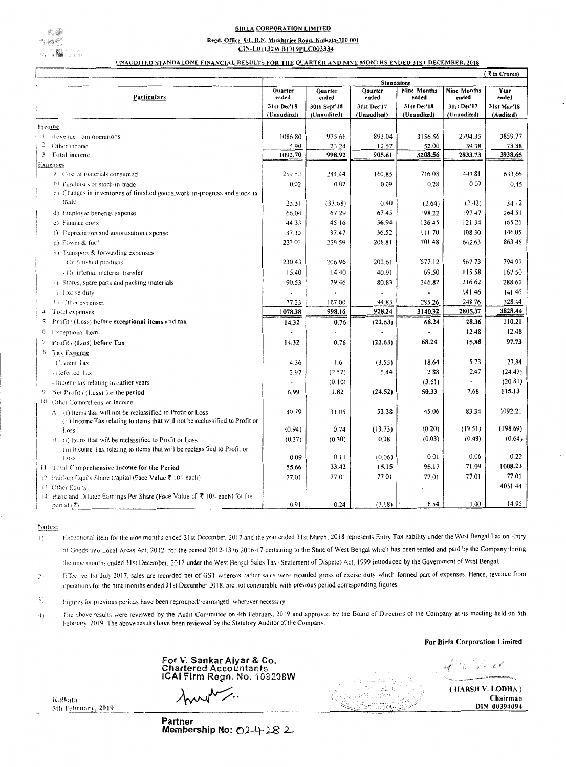## **BIRLA CORPORATION LIMITED**

# Regd. Office: 9/1, R.N. Mukherjee Road, Kolkata-700 001

CIN-L01132WB1919PLC003334

## UNAUDITED STANDALONE FINANCIAL RESULTS FOR THE QUARTER AND NINE MONTHS ENDED 31ST DECEMBER, 2018

|                                                                                               |                   |                           |                  |                      |                             | $\sqrt{5}$ in Crores) |  |  |
|-----------------------------------------------------------------------------------------------|-------------------|---------------------------|------------------|----------------------|-----------------------------|-----------------------|--|--|
|                                                                                               | Standalone        |                           |                  |                      |                             |                       |  |  |
| <b>Particulars</b>                                                                            | Quarter<br>ended  | Quarter<br>ended          | Quarter<br>ended | Nine Months<br>ended | <b>Nine Months</b><br>ended | Year<br>ended         |  |  |
|                                                                                               | 31st Dec'18       | 30th Sept <sup>1</sup> 18 | 31st Dec'17      | 31st Dec'18          | 31st Dec'17                 | 31st Mar'18           |  |  |
|                                                                                               | (Unaudited)       | (Unaudited)               | (Unaudited)      | (Unaudited)          | (Unaudited)                 | (Audited)             |  |  |
| <u> Income</u>                                                                                |                   |                           |                  |                      |                             |                       |  |  |
| Revenue from operations                                                                       | 1086.80           | 975.68                    | 893.04           | 3156.56              | 2794.35                     | 3859.77               |  |  |
| Other income :                                                                                | 5.90              | 23.24                     | 12.57            | 52.00                | 39.38                       | 78.88                 |  |  |
| Total income                                                                                  | 1092.70           | 998.92                    | 905.61           | 3208.56              | 2833.73                     | 3938.65               |  |  |
| <u>Expenses</u>                                                                               |                   |                           |                  |                      |                             |                       |  |  |
| a) Cost of materials consumed                                                                 | 259.52            | 244.44                    | 160.85           | 716.08               | 447.81                      | 633.66                |  |  |
| (b) Purchases of stock-in-trade                                                               | 0.02 <sub>1</sub> | 0.07                      | 0.09             | 0.28                 | 0.09                        | 0.45                  |  |  |
| c) Changes in inventories of finished goods, work-in-progress and stock-in-                   |                   |                           |                  |                      |                             |                       |  |  |
| trade                                                                                         | 25.51             | (33.68)                   | 0,40             | (2.64)               | (2.42)                      | 34.12                 |  |  |
| d) Employee benefits expense                                                                  | 66.04             | 67.29                     | 67.45            | 198.22               | 197,47                      | 264.51                |  |  |
| $\langle$ = $\rangle$ Finance costs                                                           | 44.33             | 45.16                     | 36.94            | 136.45               | 121.34                      | 165.21                |  |  |
| (i) Depreciation and amortisation expense                                                     | 37.35             | 37.47                     | 36.52            | 111.70               | 108.30                      | 146.05                |  |  |
| $(g)$ Power & fuel                                                                            | 232.02            | 229.59                    | 206.81           | 701.48               | 642.63                      | 863.46                |  |  |
| $h)$ Transport & forwarding expenses                                                          |                   |                           |                  |                      |                             |                       |  |  |
| $\sim$ On finished products.                                                                  | 230.43            | 206.96                    | 202.61           | 677.12               | 567.73                      | 794.97                |  |  |
| $\sim$ On internal material transfer                                                          | 15.40             | 14.40                     | 40.91            | 69.50                | 115.58                      | 167.50                |  |  |
| (a) Stores, spare parts and packing materials                                                 | 90.53             | 79.46                     | 80.83            | 246.87               | 216.62                      | 288.61                |  |  |
| $(i)$ Excise duty                                                                             |                   | $\blacksquare$            |                  |                      | 141.46                      | 141.46                |  |  |
| (k) Other expenses                                                                            | 77.23             | 107.00                    | 94.83            | 285.26               | 248.76                      | 328.44                |  |  |
| Total expenses<br>$\frac{1}{2}$                                                               | 1078.38           | 998.16                    | 928.24           | 3140.32              | 2805.37                     | 3828.44               |  |  |
| <b>Profit / (Loss) before exceptional items and tax</b><br>$\tilde{\mathcal{D}}$              | 14.32             | 0.76                      | (22.63)          | 68.24                | 28.36                       | 110.21                |  |  |
| <b>Exceptional</b> Item<br>$\circ$                                                            |                   |                           |                  |                      | 12.48                       | 12.48                 |  |  |
| Proofit / (Loss) before Tax                                                                   | 14.32             | 0.76                      | (22.63)          | 68.24                | 15.88                       | 97.73                 |  |  |
| <b>Tax Expense</b>                                                                            |                   |                           |                  |                      |                             |                       |  |  |
| $\sim$ Current Tax                                                                            | 4.36              | 1.61                      | (3.55)           | 18.64                | 5.73                        | 27.84                 |  |  |
| $\sim$ Deferred Tax.                                                                          | 2.97              | (2.57)                    | 5.44             | 2.88                 | 2.47                        | (24.43)               |  |  |
| - lincome tax relating to earlier years.                                                      |                   | (0,10)                    |                  | (3.61)               | $\rightarrow$               | (20.81)               |  |  |
| $\left\{ \cdot \right\}$<br>Net Profit $/$ (Loss) for the period                              | 6.99              | 1.82                      | (24.52)          | 50.33                | 7.68                        | 115.13                |  |  |
| $\{0\}$<br>Other Comprehensive Income                                                         |                   |                           |                  |                      |                             |                       |  |  |
| $A = (i)$ items that will not be reclassified to Profit or Loss                               | 49.79             | 31.05                     | 53.38            | 45.06                | 83.34                       | 1092.21               |  |  |
| (ii) Income Tax relating to items that will not be reclassified to Profit or                  |                   |                           |                  |                      |                             |                       |  |  |
| Loss:                                                                                         | (0.94)            | 0.74                      | (13.73)          | (0.20)               | (19.51)                     | (198.69)              |  |  |
| $Bz$ (i) Items that will be reclassified to Profit or Loss                                    | (0.27)            | (0.30)                    | 0.08             | (0.03)               | (0.48)                      | (0.64)                |  |  |
| (ii) Income Tax relating to items that will be reclassified to Profit or                      |                   |                           |                  |                      |                             |                       |  |  |
| $1.0$ SS                                                                                      | 0.09 <sub>1</sub> | 0.11                      | (0.06)           | 0.01                 | 0.06                        | 0.22                  |  |  |
| <b>11 Total Comprehensive Income for the Period</b>                                           | 55.66             | 33.42                     | 15.15            | 95.17                | 71.09                       | 1008.23               |  |  |
| 12 Paid-up Equity Share Capital (Face Value $\bar{\tau}$ 10/- each)                           | 77.01             | 77.01                     | 77.01            | 77.01                | 77.01                       | 77.01                 |  |  |
| 13 Other Equity                                                                               |                   |                           |                  |                      |                             | 4051.44               |  |  |
| 14 Basic and Diluted Earnings Per Share (Face Value of $\bar{\mathcal{R}}$ 10/- each) for the |                   |                           |                  |                      |                             |                       |  |  |
| period $(\bar{\zeta})$                                                                        | 0.91              | 0.24                      | (3.18)           | 6.54                 | 00.1                        | 14.95                 |  |  |

## Notes:

- Exceptional item for the nine months ended 31st December, 2017 and the year ended 31st March, 2018 represents Entry Tax liability under the West Bengal Tax on Entry  $\left\{ \cdot \right\}$ of Goods into Local Areas Act, 2012 for the period 2012-13 to 2016-17 pertaining to the State of West Bengal which has been settled and paid by the Company during the nine months ended 31st December, 2017 under the West Bengal Sales Tax (Settlement of Dispute) Act, 1999 introduced by the Government of West Bengal.
- Effective 1st July 2017, sales are recorded net of GST whereas earlier sales were recorded gross of excise duty which formed part of expenses. Hence, revenue from  $|2\rangle$ operations for the nine months ended 31st December 2018, are not comparable with previous period corresponding figures.
- $\left(3\right)$ Figures for previous periods have been regrouped/rearranged, wherever necessary.
- The above results were reviewed by the Audit Committee on 4th February, 2019 and approved by the Board of Directors of the Company at its meeting held on 5th 4) February, 2019. The above results have been reviewed by the Statutory Auditor of the Company.

## For Birla Corporation Limited



Partner Membership No: 024282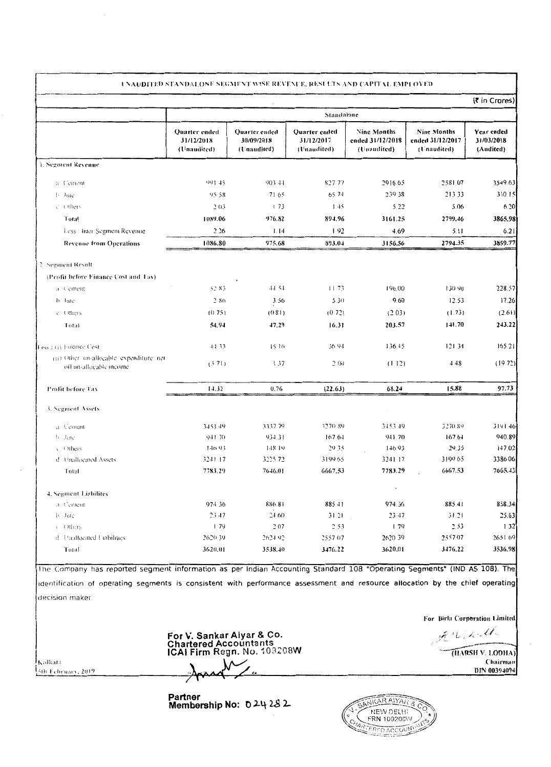|                           | UNAUDITED STANDALONE SEGMENT WISE REVENUE, RESULTS AND CAPITAL EMPLOYED. |                                                        |                                                        |                                                |                                                |                                       |
|---------------------------|--------------------------------------------------------------------------|--------------------------------------------------------|--------------------------------------------------------|------------------------------------------------|------------------------------------------------|---------------------------------------|
|                           |                                                                          |                                                        |                                                        |                                                |                                                | $(\bar{z}$ in Crores)                 |
|                           |                                                                          |                                                        | Standalone                                             |                                                |                                                |                                       |
|                           | Quarter ended<br>31/12/2018<br>$(U$ naudited)                            | Quarter ended<br>30/09/2018<br>$(\mathbf{U}$ naudited) | Quarter ended<br>31/12/2017<br>$(U$ <i>ivaudited</i> ) | Nine Months<br>ended 31/12/2018<br>(Unaudited) | Nine Months<br>ended 31/12/2017<br>(Unaudited) | Year ended<br>31/03/2018<br>(Audited) |
| <b>L. Segment Revenue</b> |                                                                          |                                                        |                                                        |                                                |                                                |                                       |
| -a Cement                 | 991.45                                                                   | -903-44                                                | 827.77                                                 | 2916.65                                        | 2581.07                                        | 3549.63                               |
| $\mathbf{b}$ dute         | 95.58                                                                    | 71.65                                                  | 65.74                                                  | 239.38                                         | 213.33                                         | 310.15                                |

the contract of the contract of the contract of the contract of the contract of

 $\sim 100$ 

| é Others.                                                            | 2.03    | - 73      | 1.45     | 5.22    | 5.06    | 6.20    |
|----------------------------------------------------------------------|---------|-----------|----------|---------|---------|---------|
| Total                                                                | 1089.06 | 976.82    | 894.96   | 3161.25 | 2799.46 | 3865.98 |
| Less : Inter Segment Revenue :                                       | 2.26    | 1.14      | l 92.    | 4.69    | 5.11    | 6.21    |
| <b>Revenue from Operations</b>                                       | 1086.80 | 975.68    | 893.04   | 3156.56 | 2794.35 | 3859.77 |
| 2. Segment Result                                                    |         |           |          |         |         |         |
| (Profit before Fimance Cost and Tax).                                |         |           |          |         |         |         |
| a Cement                                                             | 52.83   | $-44, 54$ | 11.73    | 196.00  | 130.90  | 228.57  |
| $b$ Jule                                                             | 286     | 3.56      | 5.30     | 9.60    | 12.53   | 17.26   |
| e Others                                                             | (0.75)  | (0.81)    | (0.72)   | (2.03)  | (1.73)  | (2.61)  |
| Total                                                                | 54.94   | 47.29     | 16.31    | 203.57  | 141.70  | 243.22  |
| less 1 (1) Finance Cost                                              | 44.33.  | 1516      | 36.94    | 136.45  | 121.34  | 165.21  |
| (iii) Other un-allocable expenditure net<br>off un-allocable income- | (3.71)  | 137       | 2(00)    | (112)   | 4.48    | (19.72) |
| <b>Profit before Tax</b>                                             | 14.32   | 0.76      | (22.63)  | 68.24   | 15.88   | 97.73   |
| 3. Segment Assets                                                    |         |           |          |         |         |         |
| a Cement                                                             | 3453.49 | 3337.79   | 3270.89. | 3453.49 | 3270.89 | 3191.46 |
| <b>b</b> Jule                                                        | 941.70  | 934.31    | 16764    | 941.70  | 167.64  | 940.89  |
| $\in$ Others.                                                        | 14693   | 148.19    | 29.35.   | 146.93  | 29.35   | 147.02  |
| d Unallocated Assets                                                 | 3241.17 | 3225.72   | 3199.65  | 3241 17 | 3199.65 | 3386 06 |
| Total                                                                | 7783.29 | 7646.01   | 6667.53  | 7783.29 | 6667.53 | 7665.43 |
| 4. Segment Liabilites                                                |         |           |          |         |         |         |
| a Cement                                                             | 974.36  | 886.81    | 88541    | 974.36  | 885.41  | 858.34  |
| b dute                                                               | 23.47   | 24.60     | 31.21    | 23.47   | 31.21   | 25.63   |
| c Others.                                                            | l 79.   | 207       | 2.53     | 79      | 2.53    | 1.32    |
| d Unallocated Fiabilities                                            | 2620.39 | 262492    | 2557.07  | 2620.39 | 2557.07 | 2651.69 |
| Total                                                                | 3620.01 | 3538.40   | 3476.22  | 3620.01 | 3476.22 | 3536.98 |



Partner<br>Membership No: 024282

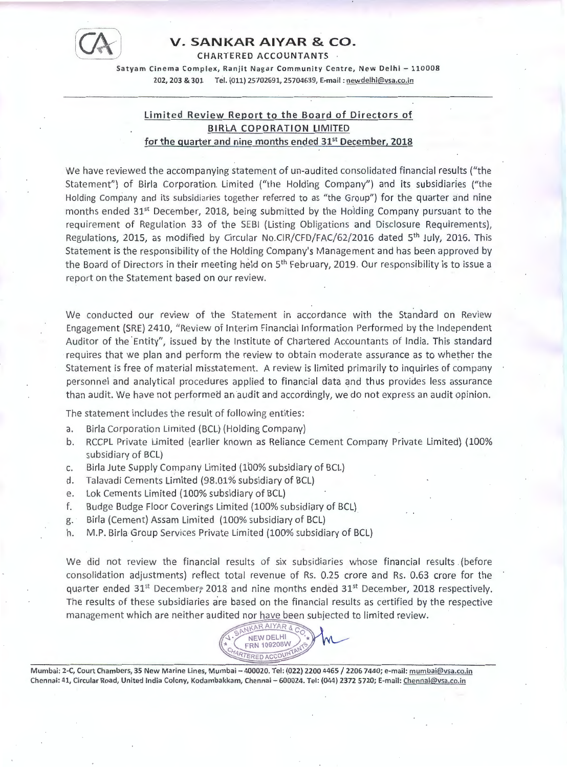

#### [c:%\J **V. SANKAR AIYAR & CO.**

**CHARTERED ACCOUNTANTS** ·

Satyam Cinema Complex, Ranjit Nagar Community Centre, New Delhi - 110008 202, 203 & 301 Tel. (011) 25702691, 25704639, Ecmail : newdelhi@vsa.co.in

#### **Limited Review Report to the Board of Directors of BIRLA COPORATION LIMITED for the quarter and nine months ended 31st December, 2018**

We have reviewed the accompanying statement of un-audited consolidated financial results ("the Statement") of Birla Corporation. Limited ("the Holding Company") and its subsidiaries ("the Holding Company and its subsidiaries together referred to as "the Group") for the quarter and nine months ended 31<sup>st</sup> December, 2018, being submitted by the Holding Company pursuant to the requirement of Regulation 33 of the SEBI (Listing Obligations and Disclosure Requirements), Regulations, 2015, as modified by Circular No.CIR/CFD/FAC/62/2016 dated 5<sup>th</sup> July, 2016. This Statement is the responsibility of the Holding Company's Management and has been approved by the Board of Directors in their meeting held on 5<sup>th</sup> February, 2019. Our responsibility is to issue a report on the Statement based on our review.

We conducted our review of the Statement in accordance with the Standard on Review Engagement (SRE) 2410, "Review of Interim Financial Information Performed by the Independent Auditor of the Entity", issued by the Institute of Chartered Accountants of India. This standard requires that we plan and perform the review to obtain moderate assurance as to whether the Statement is free of material misstatement. A review is limited primarily to inquiries of company personnel and analytical procedures applied to financial data and thus provides less assurance than audit. We have not performed an audit and accordingly, we do not express an audit opinion.

The statement includes the result of following entities:

- a. Birla Corporation Limited (BCL) (Holding Company)
- b. RCCPL Private Limited (earlier known as Reliance Cement Company Private Limited) (100% subsidiary of BCL)
- c. Birla Jute Supply Company Limited {100% subsidiary of BCL)
- d. Talavadi Cements Limited {98.01% subsidiary of BCL)
- e. Lok Cements Limited (100% subsidiary of BCL)
- f. Budge Budge Floor Coverings Limited (100% subsidiary of BCL)
- g. Birla (Cement) Assam Limited (100% subsidiary of BCL)
- h. M.P. Birla Group Services Private Limited (100% subsidiary of BCL)

We did not review the financial results of six subsidiaries whose financial results (before consolidation adjustments) reflect total revenue of Rs. 0.25 crore and Rs. 0.63 crore for the quarter ended 31<sup>st</sup> December, 2018 and nine months ended 31<sup>st</sup> December, 2018 respectively. The results of these subsidiaries are based on the financial results as certified by the respective management which are neither audited nor have been subjected to limited review.



Mumbai: 2-C, Court Chambers, 35 New Marine Lines, Mumbai -400020. Tel: (022) 2200 4465 / 2206 7440; e-mail: mumbai@vsa.co.in Chennai: 41, Circular Road, United India Colony, Kodambakkam, Chennai - 600024. Tel: (044) 2372 5720; E-mail: Chennai@vsa .co.in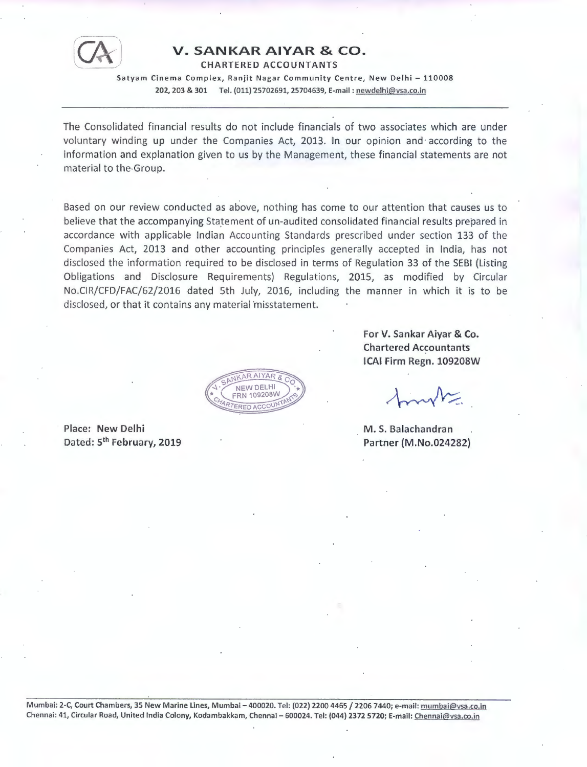

#### **V. SANKAR AIYAR** & **CO.**

CHARTERED ACCOUNTANTS

Satyam Cinema Complex, Ranjit Nagar Community Centre, New Delhi - 110008 202, 203 & 301 Tel. (011) 25702691, 25704639, E-mail : newdelhi@vsa.co.in

The Consolidated financial results do not include financials of two associates which are under voluntary winding up under the Companies Act, 2013. In our opinion and· according to the information and explanation given to us by the Management, these financial statements are not material to the-Group.

Based on our review conducted as above, nothing has come to our attention that causes us to believe that the accompanying Statement of un-audited consolidated financial results prepared in accordance with applicable Indian Accounting Standards prescribed under section 133 of the Companies Act, 2013 and other accounting principles generally accepted in India, has not disclosed the information required to be disclosed in terms of Regulation 33 of the SEBI (Listing Obligations and Disclosure Requirements) Regulations, 2015, as modified by Circular No.CIR/CFD/FAC/62/2016 dated 5th July, 2016, including the manner in which it is to be disclosed, or that it contains any material misstatement.

RAIYAR NEW DELHI **FRN 109208V ERED ACCOUN** 

Place: New Delhi Dated: 5<sup>th</sup> February, 2019 **For V. Sankar Aiyar** & **Co. Chartered Accountants ICAI Firm Regn. 109208W** 

M. S. Balachandran Partner (M.No.024282}

Mumbai: 2-C, Court Chambers, 35 New Marine Lines, Mumbai - 400020. Tel: (022) 2200 4465 / 2206 7440; e-mail: mumbai@vsa.co.in Chennai: 41, Circular Road, United India Colony, Kodambakkam, Chennai - 600024. Tel: (044) 2372 5720; E-mail: Chennai@vsa.co.in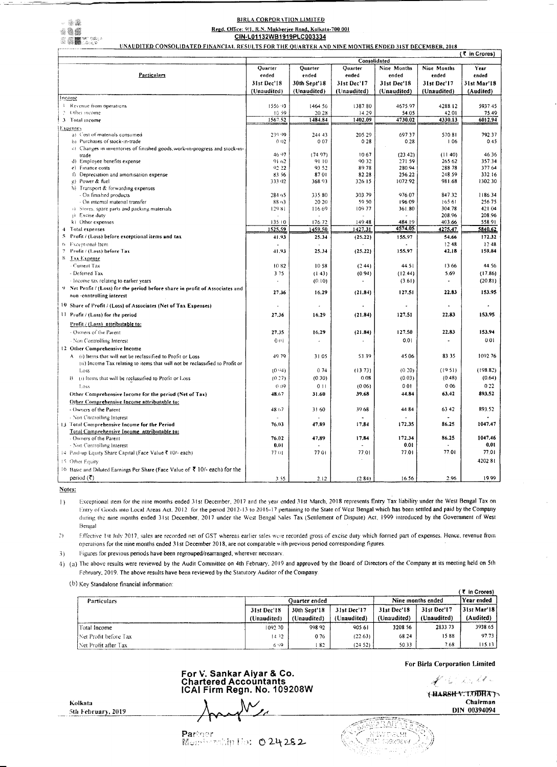## - - William III, III, III N MARING SI SANG A

الأنبية بالمسابرة للارداد فعالمت فليسام

### BIRLA CORPORATION LIMITED

## Regd. Office: 9/1, R.N. Mukherjee Road, Kolkata-700 001

## CIN-L01132WB1919PLC003334

UNAUDITED CONSOLIDATED FINANCIAL RESULTS FOR THE QUARTER AND NINE MONTHS ENDED 31ST DECEMBER, 2018

|                                                                                                  |                   |                  | Consolidated  |                  |                      |                  |
|--------------------------------------------------------------------------------------------------|-------------------|------------------|---------------|------------------|----------------------|------------------|
|                                                                                                  | Quarter           | Quarter          | Quarter       | Nine Months      | Nine Months          | Year             |
| <b>Particulars</b>                                                                               | ended             | ended            | ended         | ended            | ended                | ended            |
|                                                                                                  | 31st Dec'18       | 30th Sept'18     | 31st Dec'17   | 31st Dec'18      | 31st Dec'17          | 31st Mar'18      |
|                                                                                                  | (Unaudited)       | (Unaudited)      | (Unaudited)   | (Unaudited)      | (Unaudited)          | (Audited)        |
| Income                                                                                           |                   |                  |               |                  |                      |                  |
| Revenue from operations.                                                                         | 155693            | 1464.56          | 1387.80       | 4675,97          | 4288.12              | 5937.45          |
| Other income                                                                                     | 10.59             | 20.28            | 14.29.        | 54.05            | 42.01                | 75.49            |
| Total income                                                                                     | 1567.52           | 1484.84          | 1402.09       | 4730.02          | 4330.13              | 6012.94          |
| <u>Expenses</u>                                                                                  |                   |                  |               |                  |                      |                  |
| a) Cost of materials consumed                                                                    | 239.99            | 24443            | 205.29        | 697.37           | 570.81               | 792.37           |
| $\{b\}$ Purchases of stock-in-trade                                                              | 0.02 <sub>1</sub> | 0.07             | 0.28          | 0.28             | ∣.06                 | 0.45             |
| c) Changes in inventories of finished goods, work-in-progress and stock-in-                      |                   |                  |               |                  |                      |                  |
| trade                                                                                            | 46.97             | (74.97)          | 10.67         | (23.42)          | (11 40)              | 46.36            |
| d) Employee benefits expense                                                                     | 91.62             | 9110             | 90.32         | 271.59           | 265.62               | 357.34           |
| c) Finance costs                                                                                 | 92.22<br>83.56    | 93.52<br>8701    | 8978<br>82.28 | 280.94<br>256.22 | 288 78<br>248.59     | 377.64<br>332.16 |
| f) Depreciation and amortisation expense<br>$g$ ) Power & fuel                                   | 333.02            | 368.93           | 326.15        | 1072.92          | 981.68               | 1302.30          |
| 4) Transport & forwarding expenses                                                               |                   |                  |               |                  |                      |                  |
| - On finished products                                                                           | 284.65            | 335.80           | 303.79        | 976.07           | 847.32               | 1186.34          |
| $\sim$ On internal material transfer                                                             | 8803              | 2020             | 59.50         | 196.09           | 16561                | 25675            |
| (i) Stores, spare parts and packing materials.                                                   | 129.81            | 116.69           | 109.77        | 361.80           | 304.78               | 421.04           |
| $\mathbf{p}$ . Excise duty                                                                       |                   |                  |               |                  | 208.96               | 208.96           |
| k) Other expenses                                                                                | 13510             | 176.72           | 149.48        | 484.19           | 403.66               | 558.91           |
| Total expenses<br>$\mathbf{A}$                                                                   | <u> 1525.59 </u>  | <u> 1459.50 </u> | 1427.31       | 4574.05          | 4275.47              | 5840.62          |
| $5$ Profit / (Loss) before exceptional items and tax                                             | 41.93             | 25.34            | (25.22)       | 155,97           | 54.66                | 172,32           |
| <b>b</b> Exceptional Item                                                                        |                   |                  | <b>Add</b>    |                  | 12.48                | 12.48            |
| <b>Profit <math>/(1.055)</math> before <math>Tax</math></b>                                      | 41.93             | 25.34            | (25.22)       | 155.97           | 42.18                | 159.84           |
| -8<br>Tax Expense                                                                                |                   |                  |               |                  |                      |                  |
| $\pm$ Current Tax                                                                                | 10.82             | 10,58            | (2, 44)       | 44.51            | 13.66                | 44.56            |
| $\sim$ Deferred Tax.                                                                             | 375               | (143)            | (0.94)        | (12.44)          | 5.69                 | (17.86)          |
| $\div$ locome tax relating to earlier years.                                                     |                   | (0.10)           |               | (3.61)           |                      | (20.81)          |
| Net Profit $/(Loss)$ for the period before share in profit of Associates and $\frac{1}{2}$<br>Y. |                   |                  |               |                  |                      |                  |
| non-controlling interest                                                                         | 27.36             | 16.29            | (21.84)       | 127.51           | 22.83                | 153.95           |
| $10$ Share of Profit / (Loss) of Associates (Net of Tax Expenses)                                |                   |                  | $\mathbf{r}$  |                  | $\ddot{\phantom{1}}$ | $\bullet$        |
|                                                                                                  |                   |                  |               |                  |                      |                  |
| $11$ Profit / (Loss) for the period                                                              | 27.36             | 16.29            | (21.84)       | 127.51           | 22.83                | 153.95           |
| Profit / (Loss) attributable to:                                                                 |                   |                  |               |                  |                      |                  |
| - Owners of the Parent.                                                                          | 27.35             | 16.29            | (21.84)       | 127.50           | 22.83                | 153.94           |
| - Non Controlling Interest                                                                       | 0 <sup>0</sup>    | $\mathbf{r}$     | $\bullet$     | 0.01             |                      | 0.01             |
| 12 Other Comprehensive Income                                                                    |                   |                  |               |                  |                      |                  |
| $A = (i)$ liems that will not be reclassified to Profit or Loss                                  | 49.79             | 31.05            | 53.39         | 45.06            | 83.35                | 1092.76          |
| (ii) Income Tax relating to items that will not be reclassified to Profit or                     |                   |                  |               |                  |                      |                  |
| LOSS                                                                                             | (0.94)            | 0.74             | (13.73)       | (0.20)           | (19.51)              | (198.82)         |
| $\beta$ (i) Items that will be reclassified to Profit or Loss                                    | (0.27)            | (0.30)           | 0.08          | (0.03)           | (0.48)               | (0.64)           |
| LOSS                                                                                             | 0.09              | 011              | (0.06)        | 0.01             | 0.06                 | 0.22             |
| Other Comprehensive Income for the period (Net of Tax)                                           | 48.67             | 31.60            | 39.68         | 44.84            | 63.42                | 893.52           |
| Other Comprehensive Income attributable to:                                                      |                   |                  |               |                  |                      |                  |
|                                                                                                  |                   | 31.60            | 39.68         | 44.84            | 63 42                | 893.52           |
| $\sim$ Owners of the Parent.                                                                     | 48.67             |                  |               |                  |                      |                  |
| - Non Controlling Interest                                                                       |                   |                  |               | . .              | 86.25                | 1047.47          |
| Total Comprehensive Income for the Period<br>IJ.                                                 | 76,03             | 47.89            | 17.84         | 172,35           |                      |                  |
| Total Comprehensive Income attributable to:<br>$\sim$ Owners of the Parent.                      | 76.02             | 47.89            | 17.84         | 172.34           | 86.25                | 1047.46          |
| - Non Controlling Interest                                                                       | 0,01              |                  |               | 0.01             |                      | 0.01             |
| 14 Paid-up Equity Share Capital (Face Value ₹ 10/- each)                                         | 77.01             | 77 01.           | 77.01         | 77.01            | 77.01                | 77.01            |
|                                                                                                  |                   |                  |               |                  |                      |                  |
| 15 Other Equity                                                                                  |                   |                  |               |                  |                      | 4202.81          |
| 16 Basic and Diluted Earnings Per Share (Face Value of $\bar{\mathbf{z}}$ 10/- each) for the     |                   |                  |               |                  |                      |                  |
| period $(\xi)$                                                                                   | 3.55              | 2.12             | (284)         | 16.56            | 2.96                 | 19.99            |

## Notes:

- Exceptional item for the nine months ended 31st December, 2017 and the year ended 31st March, 2018 represents Entry Tax liability under the West Bengal Tax on  $| \ \rangle$ Entry of Goods into Local Areas Act, 2012 for the period 2012-13 to 2016-17 pertaining to the State of West Bengal which has been settled and paid by the Company during the nine months ended 31st December, 2017 under the West Bengal Sales Tax (Settlement of Dispute) Act, 1999 introduced by the Government of West Bengal
- Effective 1st July 2017, sales are recorded net of GST whereas earlier sales were recorded gross of excise duty which formed part of expenses. Hence, revenue from  $(2)$ operations for the nine months ended 31st December 2018, are not comparable with previous period corresponding figures.
- Figures for previous periods have been regrouped/rearranged, wherever necessary. 3)
- 4) (a) The above results were reviewed by the Audit Committee on 4th February, 2019 and approved by the Board of Directors of the Company at its meeting held on 5th February, 2019. The above results have been reviewed by the Statutory Auditor of the Company.

(b) Key Standalone financial information:

|                         |                            |                             |                            |                            |                            | <b>HILL</b> COLGS!       |  |  |  |
|-------------------------|----------------------------|-----------------------------|----------------------------|----------------------------|----------------------------|--------------------------|--|--|--|
| <b>Particulars</b>      |                            | <b>Ouarter ended</b>        |                            |                            |                            | Year ended               |  |  |  |
|                         | 31st Dec'18<br>(Unaudited) | 30th Sept'18<br>(Unaudited) | 31st Dec't7<br>(Unaudited) | 31st Dec'18<br>(Unaudited) | 31st Dec'17<br>(Unaudited) | 31st Mar'18<br>(Audited) |  |  |  |
| Total Income            | 1092, 70                   | 998 92                      | 905.61                     | 3208 56                    | 2833.73                    | 3938.65                  |  |  |  |
| [Net Profit before Tax] | 14.32                      | 076                         | (22.63)                    | 68.24                      | 1588                       | 97.73                    |  |  |  |
| $ Net$ Profit after Tax | 6.99                       | -82                         | (24.52)                    | 50.33                      | 7.68.                      | 115.13                   |  |  |  |